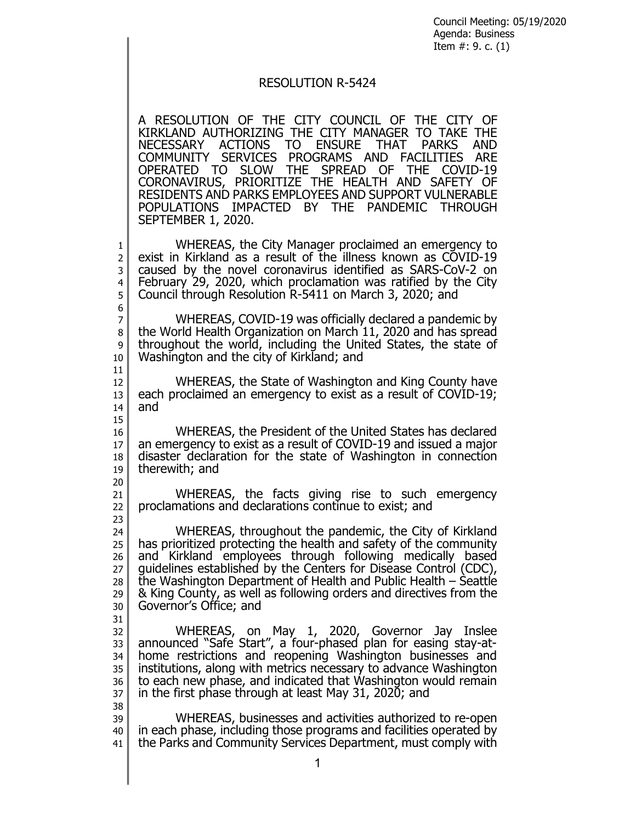Council Meeting: 05/19/2020 Agenda: Business Item #: 9. c. (1)

## RESOLUTION R-5424

A RESOLUTION OF THE CITY COUNCIL OF THE CITY OF KIRKLAND AUTHORIZING THE CITY MANAGER TO TAKE THE NECESSARY ACTIONS TO ENSURE THAT PARKS AND COMMUNITY SERVICES PROGRAMS AND FACILITIES ARE OPERATED TO SLOW THE SPREAD OF THE COVID-19 CORONAVIRUS, PRIORITIZE THE HEALTH AND SAFETY OF RESIDENTS AND PARKS EMPLOYEES AND SUPPORT VULNERABLE POPULATIONS IMPACTED BY THE PANDEMIC THROUGH SEPTEMBER 1, 2020.

1 WHEREAS, the City Manager proclaimed an emergency to<br>2 exist in Kirkland as a result of the illness known as COVID-19 2 exist in Kirkland as a result of the illness known as COVID-19<br>3 caused by the novel coronavirus identified as SARS-CoV-2 on 3 caused by the novel coronavirus identified as SARS-CoV-2 on 4 February 29, 2020, which proclamation was ratified by the City  $_5$  Council through Resolution R-5411 on March 3, 2020; and 5 Council through Resolution R-5411 on March 3, 2020; and

6<br>7 7 WHEREAS, COVID-19 was officially declared a pandemic by<br>8 the World Health Organization on March 11, 2020 and has spread the World Health Organization on March 11, 2020 and has spread 9 throughout the world, including the United States, the state of 10 Washington and the city of Kirkland; and Washington and the city of Kirkland; and 11

12 WHEREAS, the State of Washington and King County have<br>13 each proclaimed an emergency to exist as a result of COVID-19; each proclaimed an emergency to exist as a result of COVID-19;  $14$  and

15

23

31

38

16 WHEREAS, the President of the United States has declared<br>17 an emergency to exist as a result of COVID-19 and issued a major 17 an emergency to exist as a result of COVID-19 and issued a major<br>18 disaster declaration for the state of Washington in connection  $\begin{array}{c|c} 18 & \text{disaster} \end{array}$  disaster declaration for the state of Washington in connection therewith; and therewith; and

20 21 WHEREAS, the facts giving rise to such emergency<br>22 proclamations and declarations continue to exist; and 22 proclamations and declarations continue to exist; and

24 WHEREAS, throughout the pandemic, the City of Kirkland<br>25 has prioritized protecting the health and safety of the community has prioritized protecting the health and safety of the community 26 and Kirkland employees through following medically based 27 guidelines established by the Centers for Disease Control (CDC),<br>28 the Washington Department of Health and Public Health – Seattle 28 the Washington Department of Health and Public Health – Seattle 29  $\vert$  & King County, as well as following orders and directives from the 29 & King County, as well as following orders and directives from the 30 Governor's Office: and Governor's Office; and

32 WHEREAS, on May 1, 2020, Governor Jay Inslee<br>33 announced "Safe Start", a four-phased plan-for-easing-stav-at-33 announced "Safe Start", a four-phased plan for easing stay-at-<br>34 home restrictions and reopening Washington businesses and home restrictions and reopening Washington businesses and 35 institutions, along with metrics necessary to advance Washington 36 to each new phase, and indicated that Washington would remain  $37$  in the first phase through at least May 31, 2020; and

39 WHEREAS, businesses and activities authorized to re-open<br>40 in each phase, including those programs and facilities operated by in each phase, including those programs and facilities operated by 41 the Parks and Community Services Department, must comply with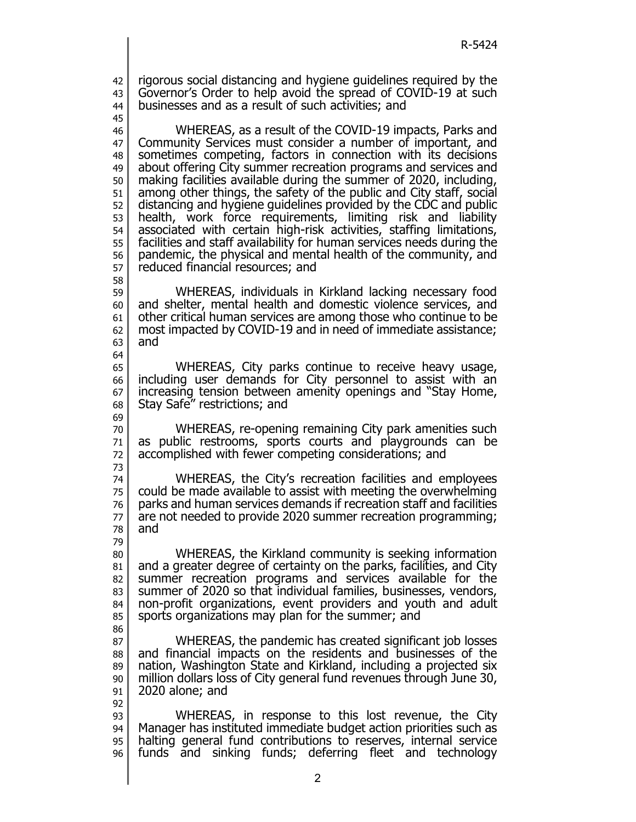42 rigorous social distancing and hygiene guidelines required by the 43 Governor's Order to help avoid the spread of COVID-19 at such<br>44 businesses and as a result of such activities: and businesses and as a result of such activities; and

45

92

46 WHEREAS, as a result of the COVID-19 impacts, Parks and<br>47 Community Services must consider a number of important, and Community Services must consider a number of important, and 48 sometimes competing, factors in connection with its decisions<br>49 about offering City summer recreation programs and services and about offering City summer recreation programs and services and 50 making facilities available during the summer of 2020, including,<br>51 among other things, the safety of the public and City staff, social 51 among other things, the safety of the public and City staff, social<br>52 distancing and hygiene guidelines provided by the CDC and public 52 distancing and hygiene guidelines provided by the CDC and public<br>53 health, work force requirements, limiting risk and liability health, work force requirements, limiting risk and liability 54 associated with certain high-risk activities, staffing limitations, 55 facilities and staff availability for human services needs during the<br>56 pandemic, the physical and mental health of the community, and 56 pandemic, the physical and mental health of the community, and steed financial resources; and reduced financial resources; and

58 59 WHEREAS, individuals in Kirkland lacking necessary food 60 and shelter, mental health and domestic violence services, and  $61$  other critical human services are among those who continue to be  $62$  most impacted by COVID-19 and in need of immediate assistance; 62 most impacted by COVID-19 and in need of immediate assistance;<br>63 and and 64

65 WHEREAS, City parks continue to receive heavy usage, 66 including user demands for City personnel to assist with an<br>67 increasing tension between amenity openings and "Stay Home, increasing tension between amenity openings and "Stay Home, 68 Stay Safe" restrictions; and 69

70 WHEREAS, re-opening remaining City park amenities such 71 as public restrooms, sports courts and playgrounds can be 72 accomplished with fewer competing considerations; and

73 74 WHEREAS, the City's recreation facilities and employees<br>75 could be made available to assist with meeting the overwhelming could be made available to assist with meeting the overwhelming 76 parks and human services demands if recreation staff and facilities  $77 \text{ cm}$  are not needed to provide 2020 summer recreation programming; and

79 80 WHEREAS, the Kirkland community is seeking information 81 and a greater degree of certainty on the parks, facilities, and City<br>82 summer recreation programs and services available for the summer recreation programs and services available for the 83 summer of 2020 so that individual families, businesses, vendors,<br>84 non-profit organizations, event providers and youth and adult 84 non-profit organizations, event providers and youth and adult  $85$  sports organizations may plan for the summer; and

86 87 WHEREAS, the pandemic has created significant job losses 88 and financial impacts on the residents and businesses of the residents and projected six nation, Washington State and Kirkland, including a projected six 90 million dollars loss of City general fund revenues through June 30,<br>91 2020 alone; and 2020 alone; and

93 WHEREAS, in response to this lost revenue, the City 94 Manager has instituted immediate budget action priorities such as<br>95 halting general fund contributions to reserves, internal service halting general fund contributions to reserves, internal service 96 funds and sinking funds; deferring fleet and technology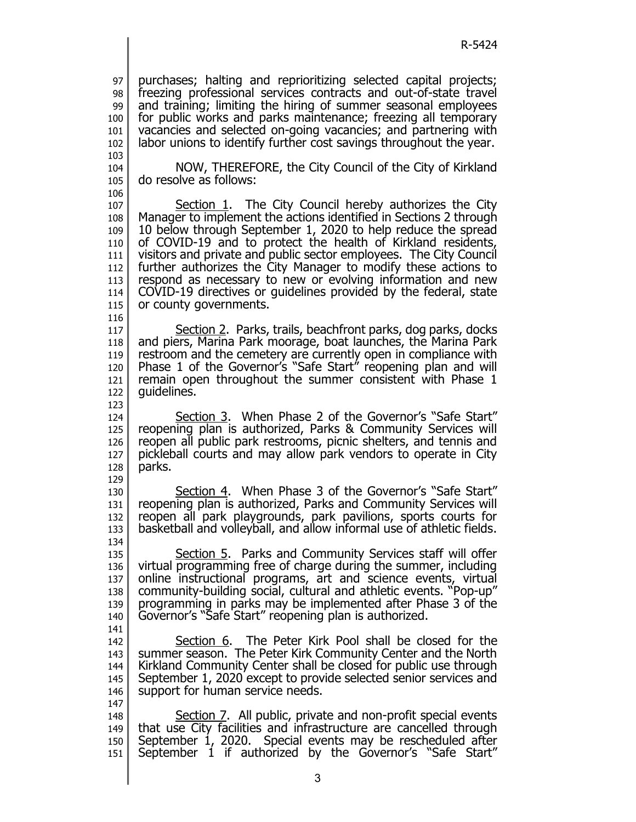purchases; halting and reprioritizing selected capital projects; freezing professional services contracts and out-of-state travel 99 and training; limiting the hiring of summer seasonal employees<br>100 for public works and parks maintenance; freezing all temporary for public works and parks maintenance; freezing all temporary vacancies and selected on-going vacancies; and partnering with  $102$  labor unions to identify further cost savings throughout the year. labor unions to identify further cost savings throughout the year. 

 NOW, THEREFORE, the City Council of the City of Kirkland do resolve as follows:

 107 Section 1. The City Council hereby authorizes the City<br>108 Manager to implement the actions identified in Sections 2 through Manager to implement the actions identified in Sections 2 through 10 below through September 1, 2020 to help reduce the spread of COVID-19 and to protect the health of Kirkland residents, visitors and private and public sector employees. The City Council 112 further authorizes the City Manager to modify these actions to respond as necessary to new or evolving information and new respond as necessary to new or evolving information and new 114 COVID-19 directives or guidelines provided by the federal, state 115 or county governments. or county governments.

 117 Section 2. Parks, trails, beachfront parks, dog parks, docks<br>118 and piers, Marina Park moorage, boat launches, the Marina Park and piers, Marina Park moorage, boat launches, the Marina Park restroom and the cemetery are currently open in compliance with Phase 1 of the Governor's "Safe Start" reopening plan and will 121 remain open throughout the summer consistent with Phase 1<br>122 quidelines. quidelines.

 Section 3. When Phase 2 of the Governor's "Safe Start" 125 | reopening plan is authorized, Parks & Community Services will reopen all public park restrooms, picnic shelters, and tennis and pickleball courts and may allow park vendors to operate in City parks.

 130 Section 4. When Phase 3 of the Governor's "Safe Start" reopening plan is authorized, Parks and Community Services will reopen all park playgrounds, park pavilions, sports courts for basketball and volleyball, and allow informal use of athletic fields. 

135 Section 5. Parks and Community Services staff will offer 136 virtual programming free of charge during the summer, including<br>137 online instructional programs, art and science events, virtual online instructional programs, art and science events, virtual community-building social, cultural and athletic events. "Pop-up" programming in parks may be implemented after Phase 3 of the Governor's "Safe Start" reopening plan is authorized. 

142 Section 6. The Peter Kirk Pool shall be closed for the 143 summer season. The Peter Kirk Community Center and the North<br>144 Kirkland Community Center shall be closed for public use through Kirkland Community Center shall be closed for public use through September 1, 2020 except to provide selected senior services and 146 support for human service needs.

 148 Section 7. All public, private and non-profit special events that use City facilities and infrastructure are cancelled through September 1, 2020. Special events may be rescheduled after September 1 if authorized by the Governor's "Safe Start"